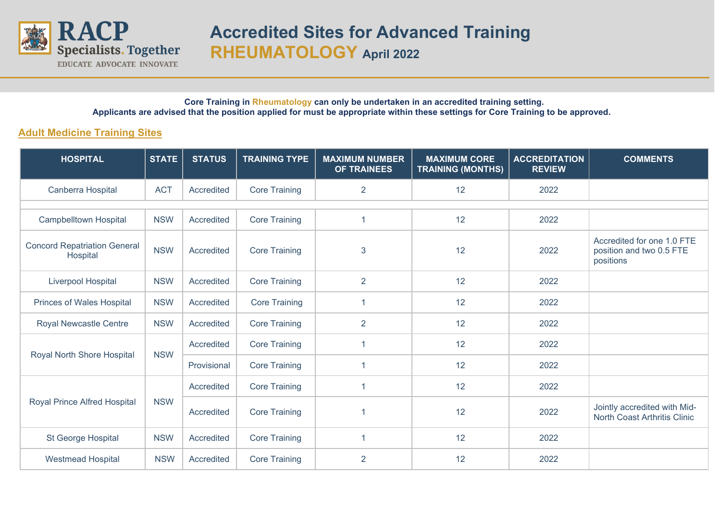

#### **Core Training in Rheumatology can only be undertaken in an accredited training setting. Applicants are advised that the position applied for must be appropriate within these settings for Core Training to be approved.**

## **Adult Medicine Training Sites**

| <b>HOSPITAL</b>                                 | <b>STATE</b> | <b>STATUS</b> | <b>TRAINING TYPE</b> | <b>MAXIMUM NUMBER</b><br><b>OF TRAINEES</b> | <b>MAXIMUM CORE</b><br><b>TRAINING (MONTHS)</b> | <b>ACCREDITATION</b><br><b>REVIEW</b> | <b>COMMENTS</b>                                                     |
|-------------------------------------------------|--------------|---------------|----------------------|---------------------------------------------|-------------------------------------------------|---------------------------------------|---------------------------------------------------------------------|
| Canberra Hospital                               | <b>ACT</b>   | Accredited    | <b>Core Training</b> | $\overline{2}$                              | 12                                              | 2022                                  |                                                                     |
|                                                 |              |               |                      |                                             |                                                 |                                       |                                                                     |
| <b>Campbelltown Hospital</b>                    | <b>NSW</b>   | Accredited    | <b>Core Training</b> | 1                                           | 12                                              | 2022                                  |                                                                     |
| <b>Concord Repatriation General</b><br>Hospital | <b>NSW</b>   | Accredited    | <b>Core Training</b> | 3                                           | 12                                              | 2022                                  | Accredited for one 1.0 FTE<br>position and two 0.5 FTE<br>positions |
| Liverpool Hospital                              | <b>NSW</b>   | Accredited    | <b>Core Training</b> | $\overline{2}$                              | 12                                              | 2022                                  |                                                                     |
| Princes of Wales Hospital                       | <b>NSW</b>   | Accredited    | <b>Core Training</b> | $\overline{1}$                              | 12                                              | 2022                                  |                                                                     |
| Royal Newcastle Centre                          | <b>NSW</b>   | Accredited    | <b>Core Training</b> | $\overline{2}$                              | 12                                              | 2022                                  |                                                                     |
| Royal North Shore Hospital                      | <b>NSW</b>   | Accredited    | <b>Core Training</b> | 1                                           | 12                                              | 2022                                  |                                                                     |
|                                                 |              | Provisional   | <b>Core Training</b> |                                             | 12                                              | 2022                                  |                                                                     |
| Royal Prince Alfred Hospital                    | <b>NSW</b>   | Accredited    | <b>Core Training</b> | -1                                          | 12                                              | 2022                                  |                                                                     |
|                                                 |              | Accredited    | <b>Core Training</b> | 1                                           | 12                                              | 2022                                  | Jointly accredited with Mid-<br><b>North Coast Arthritis Clinic</b> |
| St George Hospital                              | <b>NSW</b>   | Accredited    | <b>Core Training</b> | 1                                           | 12                                              | 2022                                  |                                                                     |
| <b>Westmead Hospital</b>                        | <b>NSW</b>   | Accredited    | <b>Core Training</b> | $\overline{2}$                              | 12                                              | 2022                                  |                                                                     |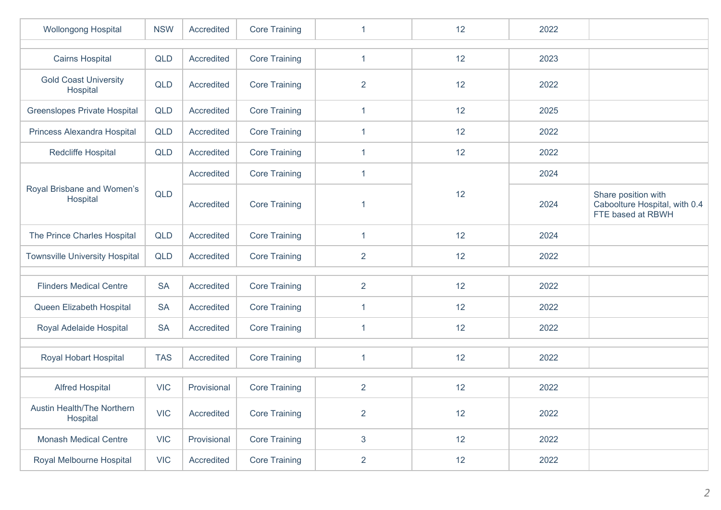| <b>Wollongong Hospital</b>               | <b>NSW</b> | Accredited  | <b>Core Training</b> | 1              | 12 | 2022 |                                                                           |  |  |  |
|------------------------------------------|------------|-------------|----------------------|----------------|----|------|---------------------------------------------------------------------------|--|--|--|
|                                          |            |             |                      |                |    |      |                                                                           |  |  |  |
| <b>Cairns Hospital</b>                   | QLD        | Accredited  | <b>Core Training</b> | $\mathbf{1}$   | 12 | 2023 |                                                                           |  |  |  |
| <b>Gold Coast University</b><br>Hospital | <b>QLD</b> | Accredited  | <b>Core Training</b> | $\overline{2}$ | 12 | 2022 |                                                                           |  |  |  |
| <b>Greenslopes Private Hospital</b>      | <b>QLD</b> | Accredited  | <b>Core Training</b> | $\mathbf{1}$   | 12 | 2025 |                                                                           |  |  |  |
| Princess Alexandra Hospital              | QLD        | Accredited  | <b>Core Training</b> | $\mathbf{1}$   | 12 | 2022 |                                                                           |  |  |  |
| Redcliffe Hospital                       | <b>QLD</b> | Accredited  | <b>Core Training</b> | 1              | 12 | 2022 |                                                                           |  |  |  |
|                                          |            | Accredited  | <b>Core Training</b> | $\mathbf 1$    |    | 2024 |                                                                           |  |  |  |
| Royal Brisbane and Women's<br>Hospital   | <b>QLD</b> | Accredited  | <b>Core Training</b> | -1             | 12 | 2024 | Share position with<br>Caboolture Hospital, with 0.4<br>FTE based at RBWH |  |  |  |
| The Prince Charles Hospital              | QLD        | Accredited  | <b>Core Training</b> | $\mathbf{1}$   | 12 | 2024 |                                                                           |  |  |  |
| <b>Townsville University Hospital</b>    | QLD        | Accredited  | <b>Core Training</b> | $\overline{2}$ | 12 | 2022 |                                                                           |  |  |  |
|                                          |            |             |                      |                |    |      |                                                                           |  |  |  |
| <b>Flinders Medical Centre</b>           | <b>SA</b>  | Accredited  | <b>Core Training</b> | $\overline{2}$ | 12 | 2022 |                                                                           |  |  |  |
| Queen Elizabeth Hospital                 | <b>SA</b>  | Accredited  | <b>Core Training</b> | 1              | 12 | 2022 |                                                                           |  |  |  |
| Royal Adelaide Hospital                  | <b>SA</b>  | Accredited  | <b>Core Training</b> | $\mathbf 1$    | 12 | 2022 |                                                                           |  |  |  |
|                                          |            |             |                      |                |    |      |                                                                           |  |  |  |
| Royal Hobart Hospital                    | <b>TAS</b> | Accredited  | <b>Core Training</b> | 1              | 12 | 2022 |                                                                           |  |  |  |
|                                          |            |             |                      |                |    |      |                                                                           |  |  |  |
| <b>Alfred Hospital</b>                   | <b>VIC</b> | Provisional | <b>Core Training</b> | $\overline{2}$ | 12 | 2022 |                                                                           |  |  |  |
| Austin Health/The Northern<br>Hospital   | <b>VIC</b> | Accredited  | <b>Core Training</b> | $\overline{2}$ | 12 | 2022 |                                                                           |  |  |  |
| <b>Monash Medical Centre</b>             | <b>VIC</b> | Provisional | <b>Core Training</b> | $\mathbf{3}$   | 12 | 2022 |                                                                           |  |  |  |
| Royal Melbourne Hospital                 | <b>VIC</b> | Accredited  | <b>Core Training</b> | $\overline{2}$ | 12 | 2022 |                                                                           |  |  |  |